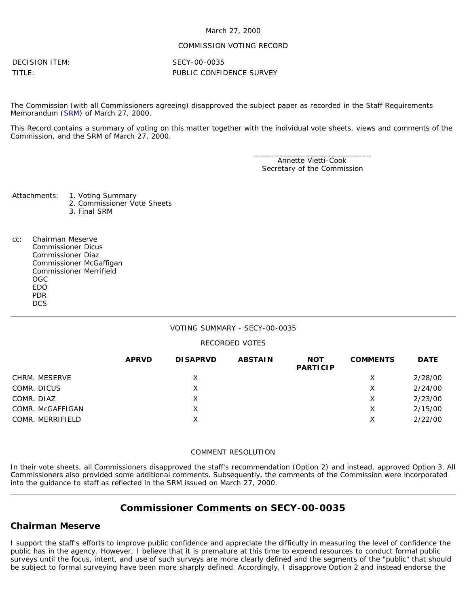### March 27, 2000

### COMMISSION VOTING RECORD

DECISION ITEM: SECY-00-0035

TITLE: PUBLIC CONFIDENCE SURVEY

The Commission (with all Commissioners agreeing) disapproved the subject paper as recorded in the Staff Requirements Memorandum ([SRM\)](http://www.nrc.gov/reading-rm/doc-collections/commission/srm/2000/2000-0035srm.html) of March 27, 2000.

This Record contains a summary of voting on this matter together with the individual vote sheets, views and comments of the Commission, and the SRM of March 27, 2000.

> \_\_\_\_\_\_\_\_\_\_\_\_\_\_\_\_\_\_\_\_\_\_\_\_\_\_\_ Annette Vietti-Cook Secretary of the Commission

Attachments: 1. Voting Summary

- 2. Commissioner Vote Sheets
- 3. Final SRM
- cc: Chairman Meserve Commissioner Dicus Commissioner Diaz Commissioner McGaffigan Commissioner Merrifield OGC EDO PDR **DCS**

### VOTING SUMMARY - SECY-00-0035

### RECORDED VOTES

|                  | <b>APRVD</b> | <b>DISAPRVD</b> | <b>ABSTAIN</b> | <b>NOT</b><br><b>PARTICIP</b> | <b>COMMENTS</b> | <b>DATE</b> |
|------------------|--------------|-----------------|----------------|-------------------------------|-----------------|-------------|
| CHRM. MESERVE    |              | X               |                |                               | х               | 2/28/00     |
| COMR. DICUS      |              | Χ               |                |                               | Χ               | 2/24/00     |
| COMR. DIAZ       |              | Х               |                |                               | х               | 2/23/00     |
| COMR. McGAFFIGAN |              | Χ               |                |                               | х               | 2/15/00     |
| COMR. MERRIFIELD |              | X               |                |                               | X               | 2/22/00     |

### COMMENT RESOLUTION

In their vote sheets, all Commissioners disapproved the staff's recommendation (Option 2) and instead, approved Option 3. All Commissioners also provided some additional comments. Subsequently, the comments of the Commission were incorporated into the guidance to staff as reflected in the SRM issued on March 27, 2000.

# **Commissioner Comments on [SECY-00-0035](http://www.nrc.gov/reading-rm/doc-collections/commission/secys/2000/secy2000-0035/2000-0035scy.html)**

# **Chairman Meserve**

I support the staff's efforts to improve public confidence and appreciate the difficulty in measuring the level of confidence the public has in the agency. However, I believe that it is premature at this time to expend resources to conduct formal public surveys until the focus, intent, and use of such surveys are more clearly defined and the segments of the "public" that should be subject to formal surveying have been more sharply defined. Accordingly, I disapprove Option 2 and instead endorse the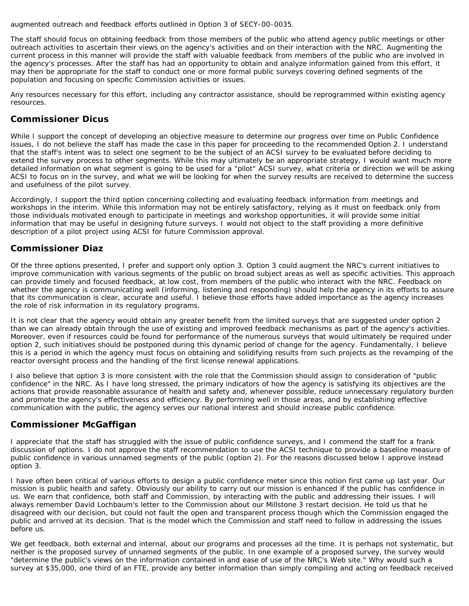augmented outreach and feedback efforts outlined in Option 3 of SECY-00-0035.

The staff should focus on obtaining feedback from those members of the public who attend agency public meetings or other outreach activities to ascertain their views on the agency's activities and on their interaction with the NRC. Augmenting the current process in this manner will provide the staff with valuable feedback from members of the public who are involved in the agency's processes. After the staff has had an opportunity to obtain and analyze information gained from this effort, it may then be appropriate for the staff to conduct one or more formal public surveys covering defined segments of the population and focusing on specific Commission activities or issues.

Any resources necessary for this effort, including any contractor assistance, should be reprogrammed within existing agency resources.

### **Commissioner Dicus**

While I support the concept of developing an objective measure to determine our progress over time on Public Confidence issues, I do not believe the staff has made the case in this paper for proceeding to the recommended Option 2. I understand that the staff's intent was to select one segment to be the subject of an ACSI survey to be evaluated before deciding to extend the survey process to other segments. While this may ultimately be an appropriate strategy, I would want much more detailed information on what segment is going to be used for a "pilot" ACSI survey, what criteria or direction we will be asking ACSI to focus on in the survey, and what we will be looking for when the survey results are received to determine the success and usefulness of the pilot survey.

Accordingly, I support the third option concerning collecting and evaluating feedback information from meetings and workshops in the interim. While this information may not be entirely satisfactory, relying as it must on feedback only from those individuals motivated enough to participate in meetings and workshop opportunities, it will provide some initial information that may be useful in designing future surveys. I would not object to the staff providing a more definitive description of a pilot project using ACSI for future Commission approval.

### **Commissioner Diaz**

Of the three options presented, I prefer and support only option 3. Option 3 could augment the NRC's current initiatives to improve communication with various segments of the public on broad subject areas as well as specific activities. This approach can provide timely and focused feedback, at low cost, from members of the public who interact with the NRC. Feedback on whether the agency is communicating well (informing, listening and responding) should help the agency in its efforts to assure that its communication is clear, accurate and useful. I believe those efforts have added importance as the agency increases the role of risk information in its regulatory programs.

It is not clear that the agency would obtain any greater benefit from the limited surveys that are suggested under option 2 than we can already obtain through the use of existing and improved feedback mechanisms as part of the agency's activities. Moreover, even if resources could be found for performance of the numerous surveys that would ultimately be required under option 2, such initiatives should be postponed during this dynamic period of change for the agency. Fundamentally, I believe this is a period in which the agency must focus on obtaining and solidifying results from such projects as the revamping of the reactor oversight process and the handling of the first license renewal applications.

I also believe that option 3 is more consistent with the role that the Commission should assign to consideration of "public confidence" in the NRC. As I have long stressed, the primary indicators of how the agency is satisfying its objectives are the actions that provide reasonable assurance of health and safety and, whenever possible, reduce unnecessary regulatory burden and promote the agency's effectiveness and efficiency. By performing well in those areas, and by establishing effective communication with the public, the agency serves our national interest and should increase public confidence.

# **Commissioner McGaffigan**

I appreciate that the staff has struggled with the issue of public confidence surveys, and I commend the staff for a frank discussion of options. I do not approve the staff recommendation to use the ACSI technique to provide a baseline measure of public confidence in various unnamed segments of the public (option 2). For the reasons discussed below I approve instead option 3.

I have often been critical of various efforts to design a public confidence meter since this notion first came up last year. Our mission is public health and safety. Obviously our ability to carry out our mission is enhanced if the public has confidence in us. We earn that confidence, both staff and Commission, by interacting with the public and addressing their issues. I will always remember David Lochbaum's letter to the Commission about our Millstone 3 restart decision. He told us that he disagreed with our decision, but could not fault the open and transparent process though which the Commission engaged the public and arrived at its decision. That is the model which the Commission and staff need to follow in addressing the issues before us.

We get feedback, both external and internal, about our programs and processes all the time. It is perhaps not systematic, but neither is the proposed survey of unnamed segments of the public. In one example of a proposed survey, the survey would "determine the public's views on the information contained in and ease of use of the NRC's Web site." Why would such a survey at \$35,000, one third of an FTE, provide any better information than simply compiling and acting on feedback received